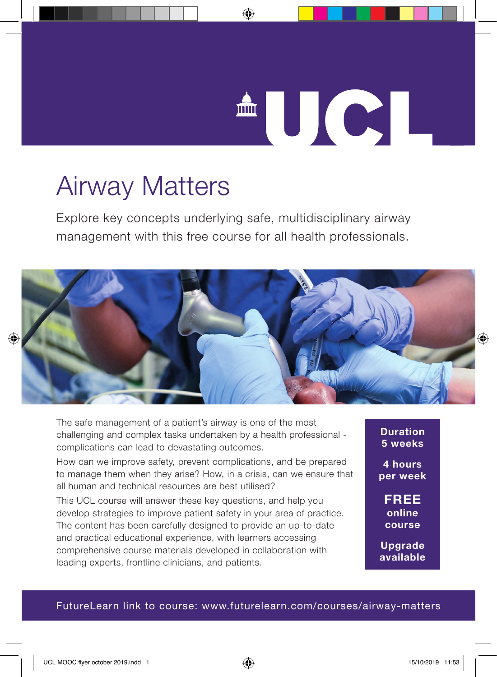

## Airway Matters

Explore key concepts underlying safe, multidisciplinary airway management with this free course for all health professionals.



The safe management of a patient's airway is one of the most challenging and complex tasks undertaken by a health professional complications can lead to devastating outcomes.

How can we improve safety, prevent complications, and be prepared to manage them when they arise? How, in a crisis, can we ensure that all human and technical resources are best utilised?

This UCL course will answer these key questions, and help you develop strategies to improve patient safety in your area of practice. The content has been carefully designed to provide an up-to-date and practical educational experience, with learners accessing comprehensive course materials developed in collaboration with leading experts, frontline clinicians, and patients.

**Duration 5 weeks**

**4 hours per week**

**FREE online course**

**Upgrade available**

#### FutureLearn link to course: www.futurelearn.com/courses/airway-matters